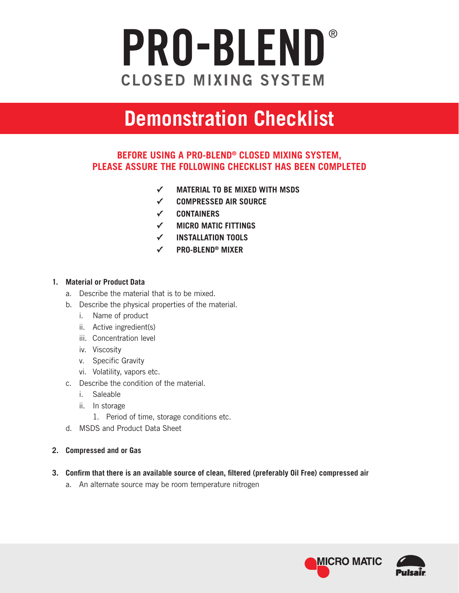## PRO-BLEND ®**CLOSED MIXING SYSTEM**

# **Demonstration Checklist**

### **BEFORE USING A PRO-BLEND® CLOSED MIXING SYSTEM, PLEASE ASSURE THE FOLLOWING CHECKLIST HAS BEEN COMPLETED**

- **✓ MATERIAL TO BE MIXED WITH MSDS**
- **✓ COMPRESSED AIR SOURCE**
- **✓ CONTAINERS**
- **✓ MICRO MATIC FITTINGS**
- **✓ INSTALLATION TOOLS**
- **✓ PRO-BLEND® MIXER**

#### **1. Material or Product Data**

- a. Describe the material that is to be mixed.
- b. Describe the physical properties of the material.
	- i. Name of product
	- ii. Active ingredient(s)
	- iii. Concentration level
	- iv. Viscosity
	- v. Specific Gravity
	- vi. Volatility, vapors etc.
- c. Describe the condition of the material.
	- i. Saleable
	- ii. In storage
		- 1. Period of time, storage conditions etc.
- d. MSDS and Product Data Sheet

#### **2. Compressed and or Gas**

- **3. Confirm that there is an available source of clean, filtered (preferably Oil Free) compressed air**
	- a. An alternate source may be room temperature nitrogen